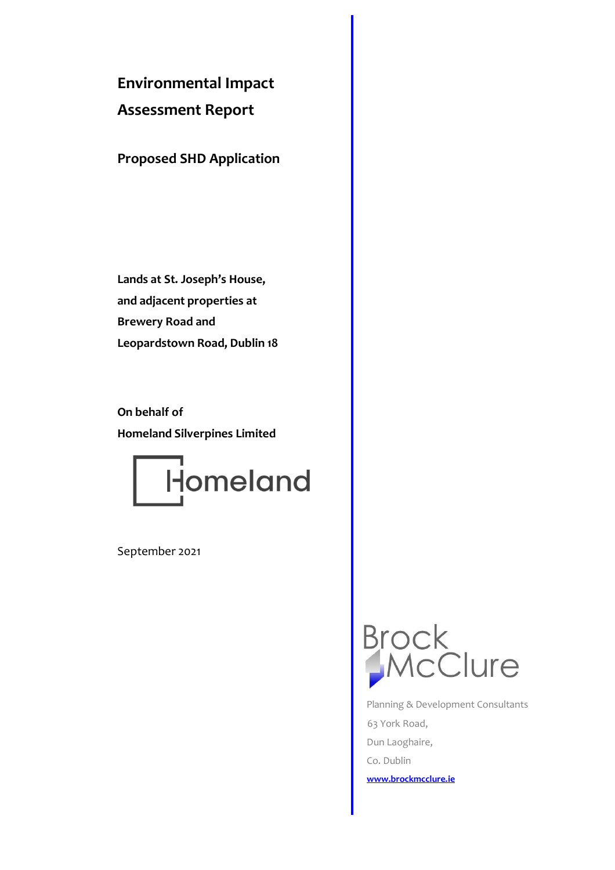# **Environmental Impact**

## **Assessment Report**

**Proposed SHD Application**

**Lands at St. Joseph's House, and adjacent properties at Brewery Road and Leopardstown Road, Dublin 18**

**On behalf of Homeland Silverpines Limited**



September 2021



 Planning & Development Consultants 63 York Road, Dun Laoghaire, Co. Dublin **[www.brockmcclure.ie](http://www.brockmcclure.ie/)**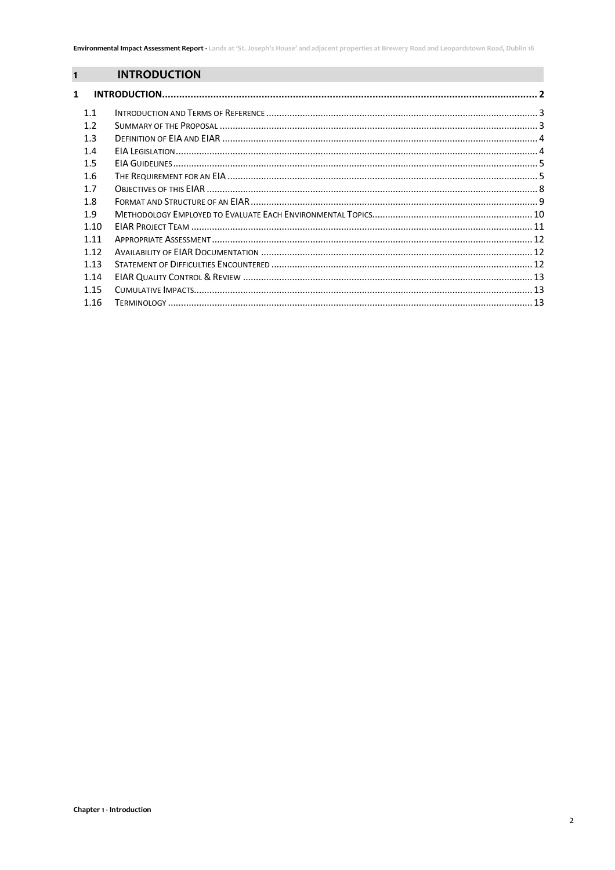## **INTRODUCTION**

<span id="page-1-0"></span> $\overline{\mathbf{1}}$ 

| $\mathbf{1}$     |  |
|------------------|--|
| 1.1              |  |
|                  |  |
| 1.2 <sub>2</sub> |  |
| 1.3              |  |
| 1.4              |  |
| 1.5              |  |
| 1.6              |  |
| 1.7              |  |
| 1.8              |  |
| 1.9              |  |
| 1.10             |  |
| 1.11             |  |
| 1.12             |  |
| 1.13             |  |
| 1.14             |  |
| 1.15             |  |
| 1.16             |  |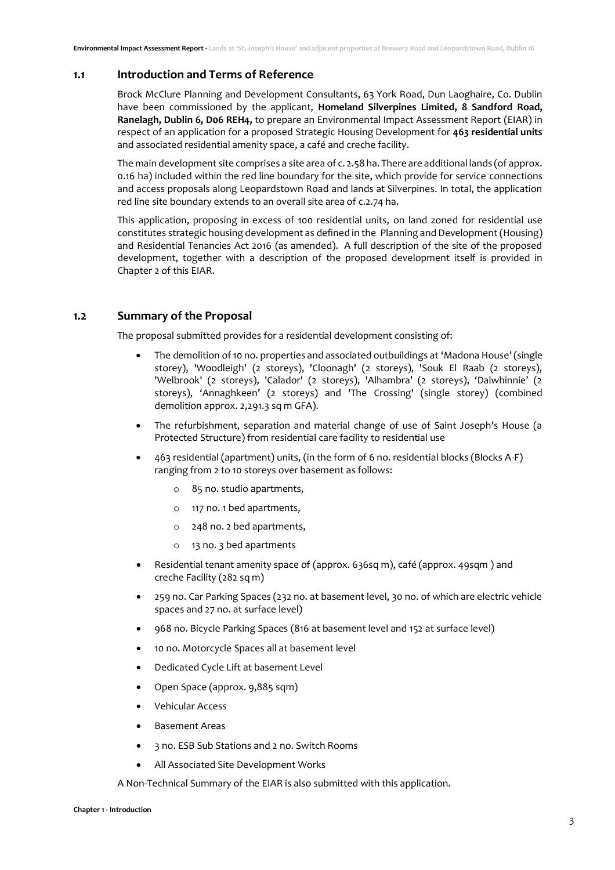#### <span id="page-2-0"></span>**1.1 Introduction and Terms of Reference**

Brock McClure Planning and Development Consultants, 63 York Road, Dun Laoghaire, Co. Dublin have been commissioned by the applicant, **Homeland Silverpines Limited, 8 Sandford Road, Ranelagh, Dublin 6, D06 REH4,** to prepare an Environmental Impact Assessment Report (EIAR) in respect of an application for a proposed Strategic Housing Development for **463 residential units** and associated residential amenity space, a café and creche facility.

The main development site comprises a site area of c. 2.58 ha. There are additional lands (of approx. 0.16 ha) included within the red line boundary for the site, which provide for service connections and access proposals along Leopardstown Road and lands at Silverpines. In total, the application red line site boundary extends to an overall site area of c.2.74 ha.

This application, proposing in excess of 100 residential units, on land zoned for residential use constitutes strategic housing development as defined in the Planning and Development (Housing) and Residential Tenancies Act 2016 (as amended). A full description of the site of the proposed development, together with a description of the proposed development itself is provided in Chapter 2 of this EIAR.

#### <span id="page-2-1"></span>**1.2 Summary of the Proposal**

The proposal submitted provides for a residential development consisting of:

- The demolition of 10 no. properties and associated outbuildings at 'Madona House' (single storey), 'Woodleigh' (2 storeys), 'Cloonagh' (2 storeys), 'Souk El Raab (2 storeys), 'Welbrook' (2 storeys), 'Calador' (2 storeys), 'Alhambra' (2 storeys), 'Dalwhinnie' (2 storeys), 'Annaghkeen' (2 storeys) and 'The Crossing' (single storey) (combined demolition approx. 2.291.3 sq m GFA).
- The refurbishment, separation and material change of use of Saint Joseph's House (a Protected Structure) from residential care facility to residential use
- 463 residential (apartment) units, (in the form of 6 no. residential blocks (Blocks A-F) ranging from 2 to 10 storeys over basement as follows:
	- o 85 no. studio apartments,
	- o 117 no. 1 bed apartments,
	- o 248 no. 2 bed apartments,
	- o 13 no. 3 bed apartments
- Residential tenant amenity space of (approx. 636sq m), café (approx. 49sqm ) and creche Facility (282 sq m)
- 259 no. Car Parking Spaces (232 no. at basement level, 30 no. of which are electric vehicle spaces and 27 no. at surface level)
- 968 no. Bicycle Parking Spaces (816 at basement level and 152 at surface level)
- 10 no. Motorcycle Spaces all at basement level
- Dedicated Cycle Lift at basement Level
- Open Space (approx. 9,885 sqm)
- Vehicular Access
- Basement Areas
- 3 no. ESB Sub Stations and 2 no. Switch Rooms
- All Associated Site Development Works

A Non-Technical Summary of the EIAR is also submitted with this application.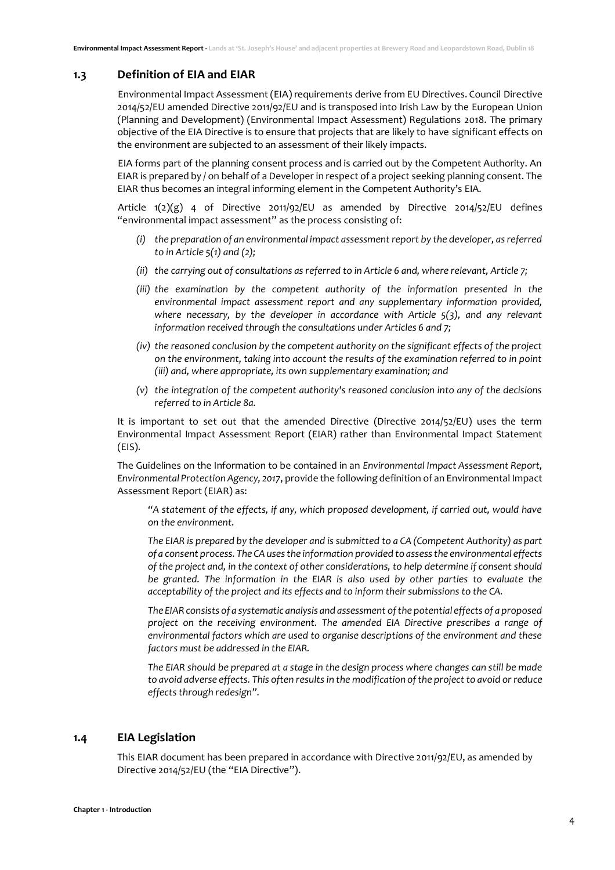#### <span id="page-3-0"></span>**1.3 Definition of EIA and EIAR**

Environmental Impact Assessment (EIA) requirements derive from EU Directives. Council Directive 2014/52/EU amended Directive 2011/92/EU and is transposed into Irish Law by the European Union (Planning and Development) (Environmental Impact Assessment) Regulations 2018. The primary objective of the EIA Directive is to ensure that projects that are likely to have significant effects on the environment are subjected to an assessment of their likely impacts.

EIA forms part of the planning consent process and is carried out by the Competent Authority. An EIAR is prepared by / on behalf of a Developer in respect of a project seeking planning consent. The EIAR thus becomes an integral informing element in the Competent Authority's EIA.

Article  $1(2)(g)$  4 of Directive 2011/92/EU as amended by Directive 2014/52/EU defines "environmental impact assessment" as the process consisting of:

- *(i) the preparation of an environmental impact assessment report by the developer, as referred to in Article 5(1) and (2);*
- *(ii) the carrying out of consultations as referred to in Article 6 and, where relevant, Article 7;*
- *(iii) the examination by the competent authority of the information presented in the environmental impact assessment report and any supplementary information provided, where necessary, by the developer in accordance with Article 5(3), and any relevant information received through the consultations under Articles 6 and 7;*
- *(iv) the reasoned conclusion by the competent authority on the significant effects of the project on the environment, taking into account the results of the examination referred to in point (iii) and, where appropriate, its own supplementary examination; and*
- *(v) the integration of the competent authority's reasoned conclusion into any of the decisions referred to in Article 8a.*

It is important to set out that the amended Directive (Directive 2014/52/EU) uses the term Environmental Impact Assessment Report (EIAR) rather than Environmental Impact Statement (EIS).

The Guidelines on the Information to be contained in an *Environmental Impact Assessment Report,*  Environmental Protection Agency, 2017, provide the following definition of an Environmental Impact Assessment Report (EIAR) as:

*"A statement of the effects, if any, which proposed development, if carried out, would have on the environment.* 

*The EIAR is prepared by the developer and is submitted to a CA (Competent Authority) as part of a consent process. The CA uses the information provided to assess the environmental effects of the project and, in the context of other considerations, to help determine if consent should be granted. The information in the EIAR is also used by other parties to evaluate the acceptability of the project and its effects and to inform their submissions to the CA.* 

*The EIAR consists of a systematic analysis and assessment of the potential effects of a proposed project on the receiving environment. The amended EIA Directive prescribes a range of environmental factors which are used to organise descriptions of the environment and these factors must be addressed in the EIAR.* 

*The EIAR should be prepared at a stage in the design process where changes can still be made to avoid adverse effects. This often results in the modification of the project to avoid or reduce effects through redesign".* 

### <span id="page-3-1"></span>**1.4 EIA Legislation**

This EIAR document has been prepared in accordance with Directive 2011/92/EU, as amended by Directive 2014/52/EU (the "EIA Directive").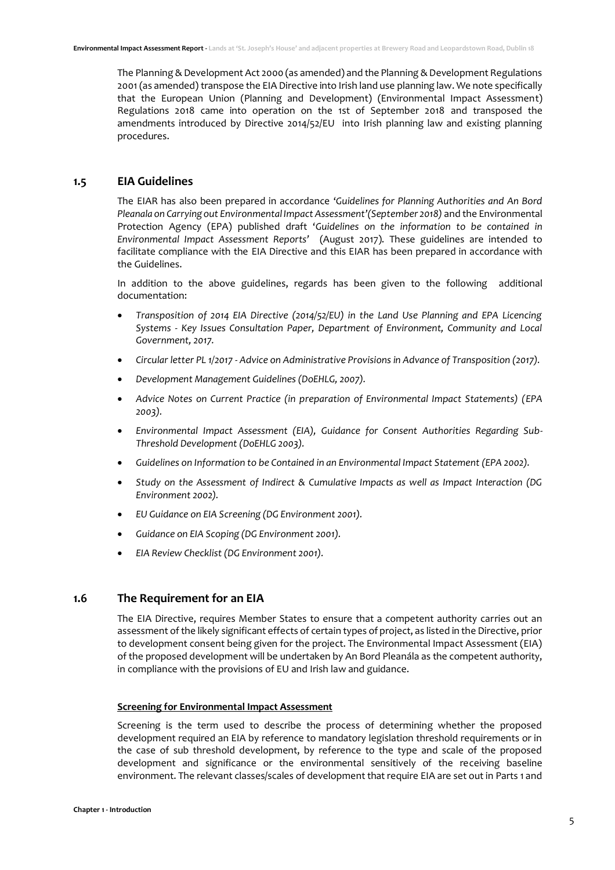The Planning & Development Act 2000 (as amended) and the Planning & Development Regulations 2001 (as amended) transpose the EIA Directive into Irish land use planning law. We note specifically that the European Union (Planning and Development) (Environmental Impact Assessment) Regulations 2018 came into operation on the 1st of September 2018 and transposed the amendments introduced by Directive 2014/52/EU into Irish planning law and existing planning procedures.

#### <span id="page-4-0"></span>**1.5 EIA Guidelines**

The EIAR has also been prepared in accordance '*Guidelines for Planning Authorities and An Bord*  Pleanala on Carrying out Environmental Impact Assessment'(September 2018) and the Environmental Protection Agency (EPA) published draft '*Guidelines on the information to be contained in Environmental Impact Assessment Reports'* (August 2017). These guidelines are intended to facilitate compliance with the EIA Directive and this EIAR has been prepared in accordance with the Guidelines.

In addition to the above guidelines, regards has been given to the following additional documentation:

- *Transposition of 2014 EIA Directive (2014/52/EU) in the Land Use Planning and EPA Licencing Systems - Key Issues Consultation Paper, Department of Environment, Community and Local Government, 2017.*
- *Circular letter PL 1/2017 - Advice on Administrative Provisions in Advance of Transposition (2017).*
- *Development Management Guidelines (DoEHLG, 2007).*
- *Advice Notes on Current Practice (in preparation of Environmental Impact Statements) (EPA 2003).*
- *Environmental Impact Assessment (EIA), Guidance for Consent Authorities Regarding Sub-Threshold Development (DoEHLG 2003).*
- *Guidelines on Information to be Contained in an Environmental Impact Statement (EPA 2002).*
- *Study on the Assessment of Indirect & Cumulative Impacts as well as Impact Interaction (DG Environment 2002).*
- *EU Guidance on EIA Screening (DG Environment 2001).*
- *Guidance on EIA Scoping (DG Environment 2001).*
- *EIA Review Checklist (DG Environment 2001).*

#### <span id="page-4-1"></span>**1.6 The Requirement for an EIA**

The EIA Directive, requires Member States to ensure that a competent authority carries out an assessment of the likely significant effects of certain types of project, as listed in the Directive, prior to development consent being given for the project. The Environmental Impact Assessment (EIA) of the proposed development will be undertaken by An Bord Pleanála as the competent authority, in compliance with the provisions of EU and Irish law and guidance.

#### **Screening for Environmental Impact Assessment**

Screening is the term used to describe the process of determining whether the proposed development required an EIA by reference to mandatory legislation threshold requirements or in the case of sub threshold development, by reference to the type and scale of the proposed development and significance or the environmental sensitively of the receiving baseline environment. The relevant classes/scales of development that require EIA are set out in Parts 1 and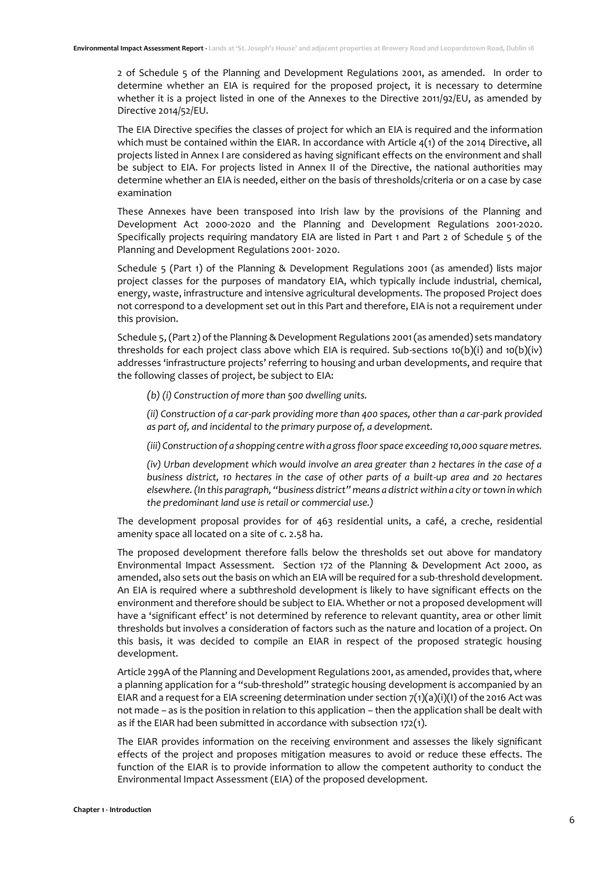2 of Schedule 5 of the Planning and Development Regulations 2001, as amended. In order to determine whether an EIA is required for the proposed project, it is necessary to determine whether it is a project listed in one of the Annexes to the Directive 2011/92/EU, as amended by Directive 2014/52/EU.

The EIA Directive specifies the classes of project for which an EIA is required and the information which must be contained within the EIAR. In accordance with Article 4(1) of the 2014 Directive, all projects listed in Annex I are considered as having significant effects on the environment and shall be subject to EIA. For projects listed in Annex II of the Directive, the national authorities may determine whether an EIA is needed, either on the basis of thresholds/criteria or on a case by case examination

These Annexes have been transposed into Irish law by the provisions of the Planning and Development Act 2000-2020 and the Planning and Development Regulations 2001-2020. Specifically projects requiring mandatory EIA are listed in Part 1 and Part 2 of Schedule 5 of the Planning and Development Regulations 2001- 2020.

Schedule 5 (Part 1) of the Planning & Development Regulations 2001 (as amended) lists major project classes for the purposes of mandatory EIA, which typically include industrial, chemical, energy, waste, infrastructure and intensive agricultural developments. The proposed Project does not correspond to a development set out in this Part and therefore, EIA is not a requirement under this provision.

Schedule 5, (Part 2) of the Planning & Development Regulations 2001 (as amended) sets mandatory thresholds for each project class above which EIA is required. Sub-sections  $10(b)(i)$  and  $10(b)(iv)$ addresses 'infrastructure projects' referring to housing and urban developments, and require that the following classes of project, be subject to EIA:

*(b) (i) Construction of more than 500 dwelling units.* 

*(ii) Construction of a car-park providing more than 400 spaces, other than a car-park provided as part of, and incidental to the primary purpose of, a development.* 

*(iii) Construction of a shopping centre with a gross floor space exceeding 10,000 square metres.* 

*(iv) Urban development which would involve an area greater than 2 hectares in the case of a business district, 10 hectares in the case of other parts of a built-up area and 20 hectares elsewhere. (In this paragraph, "business district" means a district within a city or town in which the predominant land use is retail or commercial use.)*

The development proposal provides for of 463 residential units, a café, a creche, residential amenity space all located on a site of c. 2.58 ha.

The proposed development therefore falls below the thresholds set out above for mandatory Environmental Impact Assessment. Section 172 of the Planning & Development Act 2000, as amended, also sets out the basis on which an EIA will be required for a sub-threshold development. An EIA is required where a subthreshold development is likely to have significant effects on the environment and therefore should be subject to EIA. Whether or not a proposed development will have a 'significant effect' is not determined by reference to relevant quantity, area or other limit thresholds but involves a consideration of factors such as the nature and location of a project. On this basis, it was decided to compile an EIAR in respect of the proposed strategic housing development.

Article 299A of the Planning and Development Regulations 2001, as amended, provides that, where a planning application for a "sub-threshold" strategic housing development is accompanied by an EIAR and a request for a EIA screening determination under section  $7(1)(a)(i)(l)$  of the 2016 Act was not made – as is the position in relation to this application – then the application shall be dealt with as if the EIAR had been submitted in accordance with subsection 172(1).

The EIAR provides information on the receiving environment and assesses the likely significant effects of the project and proposes mitigation measures to avoid or reduce these effects. The function of the EIAR is to provide information to allow the competent authority to conduct the Environmental Impact Assessment (EIA) of the proposed development.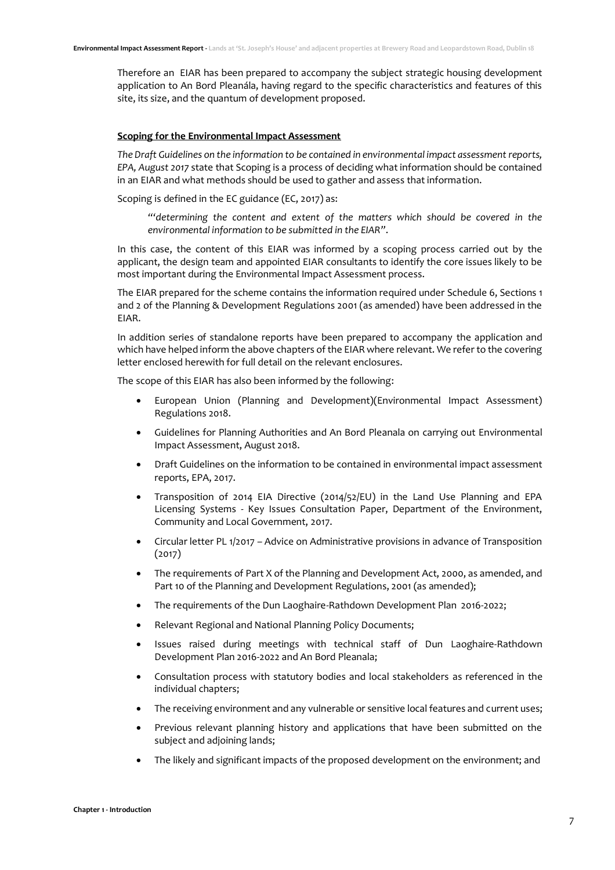Therefore an EIAR has been prepared to accompany the subject strategic housing development application to An Bord Pleanála, having regard to the specific characteristics and features of this site, its size, and the quantum of development proposed.

#### **Scoping for the Environmental Impact Assessment**

*The Draft Guidelines on the information to be contained in environmental impact assessment reports, EPA, August 2017* state that Scoping is a process of deciding what information should be contained in an EIAR and what methods should be used to gather and assess that information.

Scoping is defined in the EC guidance (EC, 2017) as:

*"'determining the content and extent of the matters which should be covered in the environmental information to be submitted in the EIAR"*.

In this case, the content of this EIAR was informed by a scoping process carried out by the applicant, the design team and appointed EIAR consultants to identify the core issues likely to be most important during the Environmental Impact Assessment process.

The EIAR prepared for the scheme contains the information required under Schedule 6, Sections 1 and 2 of the Planning & Development Regulations 2001 (as amended) have been addressed in the EIAR.

In addition series of standalone reports have been prepared to accompany the application and which have helped inform the above chapters of the EIAR where relevant. We refer to the covering letter enclosed herewith for full detail on the relevant enclosures.

The scope of this EIAR has also been informed by the following:

- European Union (Planning and Development)(Environmental Impact Assessment) Regulations 2018.
- Guidelines for Planning Authorities and An Bord Pleanala on carrying out Environmental Impact Assessment, August 2018.
- Draft Guidelines on the information to be contained in environmental impact assessment reports, EPA, 2017.
- Transposition of 2014 EIA Directive (2014/52/EU) in the Land Use Planning and EPA Licensing Systems - Key Issues Consultation Paper, Department of the Environment, Community and Local Government, 2017.
- Circular letter PL 1/2017 Advice on Administrative provisions in advance of Transposition (2017)
- The requirements of Part X of the Planning and Development Act, 2000, as amended, and Part 10 of the Planning and Development Regulations, 2001 (as amended);
- The requirements of the Dun Laoghaire-Rathdown Development Plan 2016-2022;
- Relevant Regional and National Planning Policy Documents;
- Issues raised during meetings with technical staff of Dun Laoghaire-Rathdown Development Plan 2016-2022 and An Bord Pleanala;
- Consultation process with statutory bodies and local stakeholders as referenced in the individual chapters;
- The receiving environment and any vulnerable or sensitive local features and current uses;
- Previous relevant planning history and applications that have been submitted on the subject and adjoining lands;
- The likely and significant impacts of the proposed development on the environment; and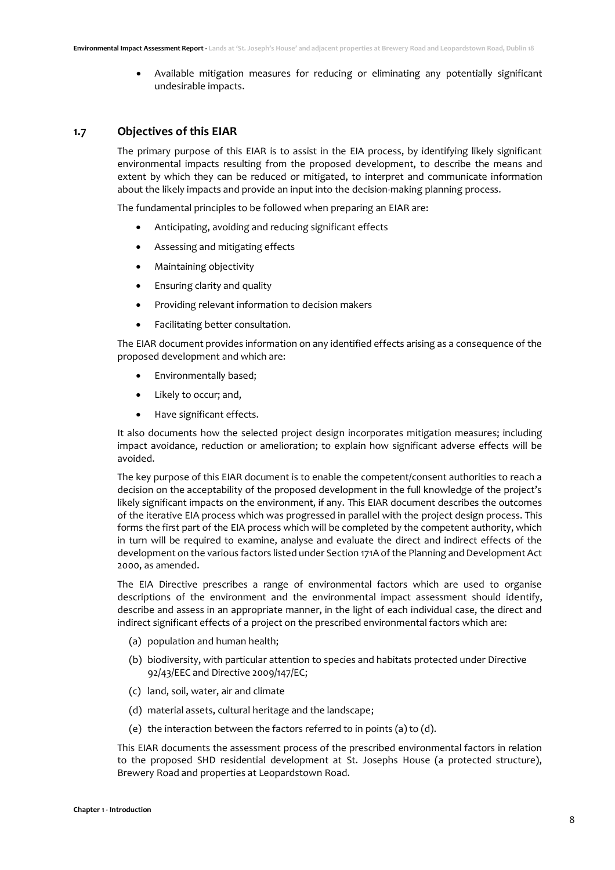• Available mitigation measures for reducing or eliminating any potentially significant undesirable impacts.

## <span id="page-7-0"></span>**1.7 Objectives of this EIAR**

The primary purpose of this EIAR is to assist in the EIA process, by identifying likely significant environmental impacts resulting from the proposed development, to describe the means and extent by which they can be reduced or mitigated, to interpret and communicate information about the likely impacts and provide an input into the decision-making planning process.

The fundamental principles to be followed when preparing an EIAR are:

- Anticipating, avoiding and reducing significant effects
- Assessing and mitigating effects
- Maintaining objectivity
- Ensuring clarity and quality
- Providing relevant information to decision makers
- Facilitating better consultation.

The EIAR document provides information on any identified effects arising as a consequence of the proposed development and which are:

- Environmentally based;
- Likely to occur; and,
- Have significant effects.

It also documents how the selected project design incorporates mitigation measures; including impact avoidance, reduction or amelioration; to explain how significant adverse effects will be avoided.

The key purpose of this EIAR document is to enable the competent/consent authorities to reach a decision on the acceptability of the proposed development in the full knowledge of the project's likely significant impacts on the environment, if any. This EIAR document describes the outcomes of the iterative EIA process which was progressed in parallel with the project design process. This forms the first part of the EIA process which will be completed by the competent authority, which in turn will be required to examine, analyse and evaluate the direct and indirect effects of the development on the various factors listed under Section 171A of the Planning and Development Act 2000, as amended.

The EIA Directive prescribes a range of environmental factors which are used to organise descriptions of the environment and the environmental impact assessment should identify, describe and assess in an appropriate manner, in the light of each individual case, the direct and indirect significant effects of a project on the prescribed environmental factors which are:

- (a) population and human health;
- (b) biodiversity, with particular attention to species and habitats protected under Directive 92/43/EEC and Directive 2009/147/EC;
- (c) land, soil, water, air and climate
- (d) material assets, cultural heritage and the landscape;
- (e) the interaction between the factors referred to in points (a) to (d).

This EIAR documents the assessment process of the prescribed environmental factors in relation to the proposed SHD residential development at St. Josephs House (a protected structure), Brewery Road and properties at Leopardstown Road.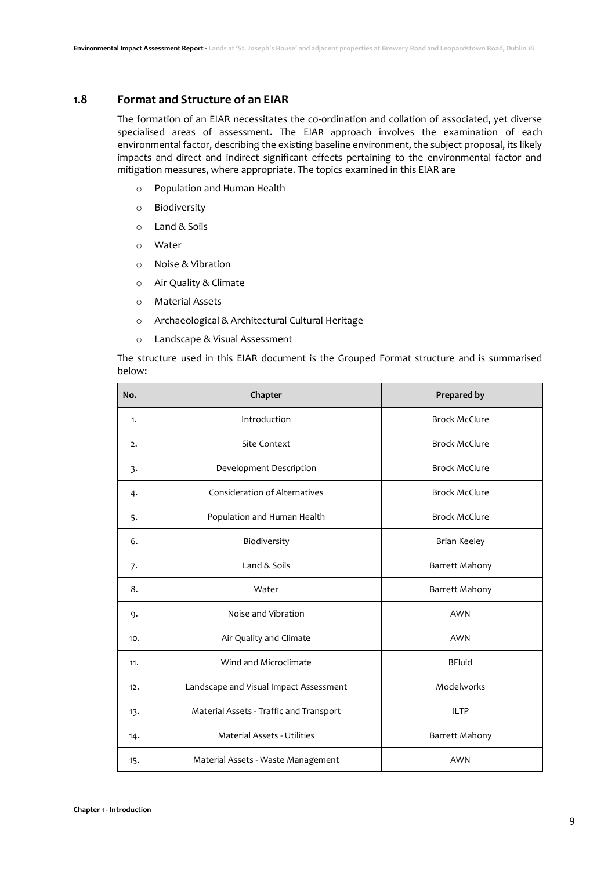## <span id="page-8-0"></span>**1.8 Format and Structure of an EIAR**

The formation of an EIAR necessitates the co-ordination and collation of associated, yet diverse specialised areas of assessment. The EIAR approach involves the examination of each environmental factor, describing the existing baseline environment, the subject proposal, its likely impacts and direct and indirect significant effects pertaining to the environmental factor and mitigation measures, where appropriate. The topics examined in this EIAR are

- o Population and Human Health
- o Biodiversity
- o Land & Soils
- o Water
- o Noise & Vibration
- o Air Quality & Climate
- o Material Assets
- o Archaeological & Architectural Cultural Heritage
- o Landscape & Visual Assessment

The structure used in this EIAR document is the Grouped Format structure and is summarised below:

| No. | Chapter                                 | Prepared by          |
|-----|-----------------------------------------|----------------------|
| 1.  | Introduction                            | <b>Brock McClure</b> |
| 2.  | <b>Site Context</b>                     | <b>Brock McClure</b> |
| 3.  | Development Description                 | <b>Brock McClure</b> |
| 4.  | <b>Consideration of Alternatives</b>    | <b>Brock McClure</b> |
| 5.  | Population and Human Health             | <b>Brock McClure</b> |
| 6.  | Biodiversity                            | <b>Brian Keeley</b>  |
| 7.  | Land & Soils                            | Barrett Mahony       |
| 8.  | Water                                   | Barrett Mahony       |
| 9.  | Noise and Vibration                     | <b>AWN</b>           |
| 10. | Air Quality and Climate                 | <b>AWN</b>           |
| 11. | Wind and Microclimate                   | <b>BFluid</b>        |
| 12. | Landscape and Visual Impact Assessment  | Modelworks           |
| 13. | Material Assets - Traffic and Transport | <b>ILTP</b>          |
| 14. | <b>Material Assets - Utilities</b>      | Barrett Mahony       |
| 15. | Material Assets - Waste Management      | <b>AWN</b>           |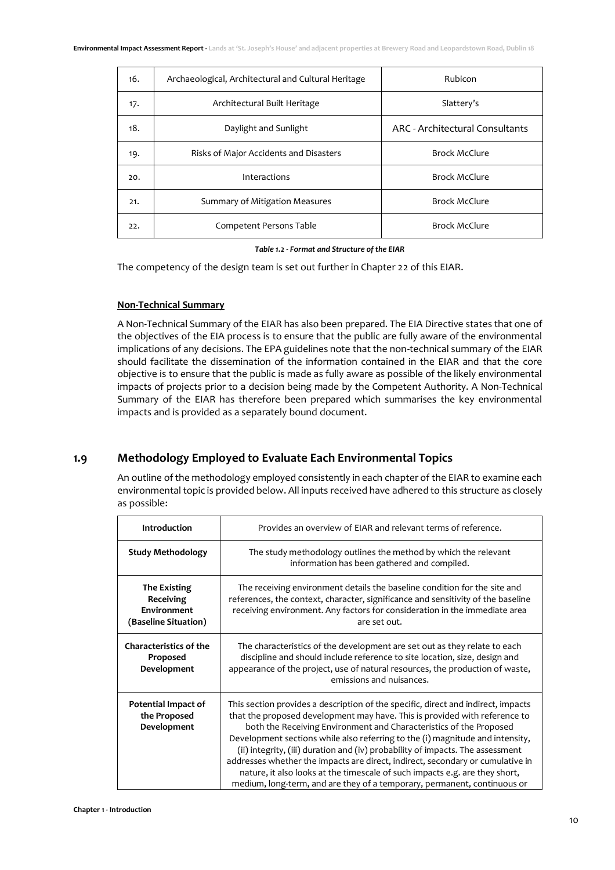| 16. | Archaeological, Architectural and Cultural Heritage | Rubicon                         |
|-----|-----------------------------------------------------|---------------------------------|
| 17. | Architectural Built Heritage                        | Slattery's                      |
| 18. | Daylight and Sunlight                               | ARC - Architectural Consultants |
| 19. | Risks of Major Accidents and Disasters              | <b>Brock McClure</b>            |
| 20. | Interactions                                        | <b>Brock McClure</b>            |
| 21. | Summary of Mitigation Measures                      | <b>Brock McClure</b>            |
| 22. | Competent Persons Table                             | <b>Brock McClure</b>            |

#### *Table 1.2 - Format and Structure of the EIAR*

The competency of the design team is set out further in Chapter 22 of this EIAR.

#### **Non-Technical Summary**

A Non-Technical Summary of the EIAR has also been prepared. The EIA Directive states that one of the objectives of the EIA process is to ensure that the public are fully aware of the environmental implications of any decisions. The EPA guidelines note that the non-technical summary of the EIAR should facilitate the dissemination of the information contained in the EIAR and that the core objective is to ensure that the public is made as fully aware as possible of the likely environmental impacts of projects prior to a decision being made by the Competent Authority. A Non-Technical Summary of the EIAR has therefore been prepared which summarises the key environmental impacts and is provided as a separately bound document.

## <span id="page-9-0"></span>**1.9 Methodology Employed to Evaluate Each Environmental Topics**

An outline of the methodology employed consistently in each chapter of the EIAR to examine each environmental topic is provided below. All inputs received have adhered to this structure as closely as possible:

| <b>Introduction</b>                                                            | Provides an overview of EIAR and relevant terms of reference.                                                                                                                                                                                                                                                                                                                                                                                                                                                                                                                                                                                         |
|--------------------------------------------------------------------------------|-------------------------------------------------------------------------------------------------------------------------------------------------------------------------------------------------------------------------------------------------------------------------------------------------------------------------------------------------------------------------------------------------------------------------------------------------------------------------------------------------------------------------------------------------------------------------------------------------------------------------------------------------------|
| <b>Study Methodology</b>                                                       | The study methodology outlines the method by which the relevant<br>information has been gathered and compiled.                                                                                                                                                                                                                                                                                                                                                                                                                                                                                                                                        |
| <b>The Existing</b><br><b>Receiving</b><br>Environment<br>(Baseline Situation) | The receiving environment details the baseline condition for the site and<br>references, the context, character, significance and sensitivity of the baseline<br>receiving environment. Any factors for consideration in the immediate area<br>are set out.                                                                                                                                                                                                                                                                                                                                                                                           |
| <b>Characteristics of the</b><br>Proposed<br>Development                       | The characteristics of the development are set out as they relate to each<br>discipline and should include reference to site location, size, design and<br>appearance of the project, use of natural resources, the production of waste,<br>emissions and nuisances.                                                                                                                                                                                                                                                                                                                                                                                  |
| <b>Potential Impact of</b><br>the Proposed<br>Development                      | This section provides a description of the specific, direct and indirect, impacts<br>that the proposed development may have. This is provided with reference to<br>both the Receiving Environment and Characteristics of the Proposed<br>Development sections while also referring to the (i) magnitude and intensity,<br>(ii) integrity, (iii) duration and (iv) probability of impacts. The assessment<br>addresses whether the impacts are direct, indirect, secondary or cumulative in<br>nature, it also looks at the timescale of such impacts e.g. are they short,<br>medium, long-term, and are they of a temporary, permanent, continuous or |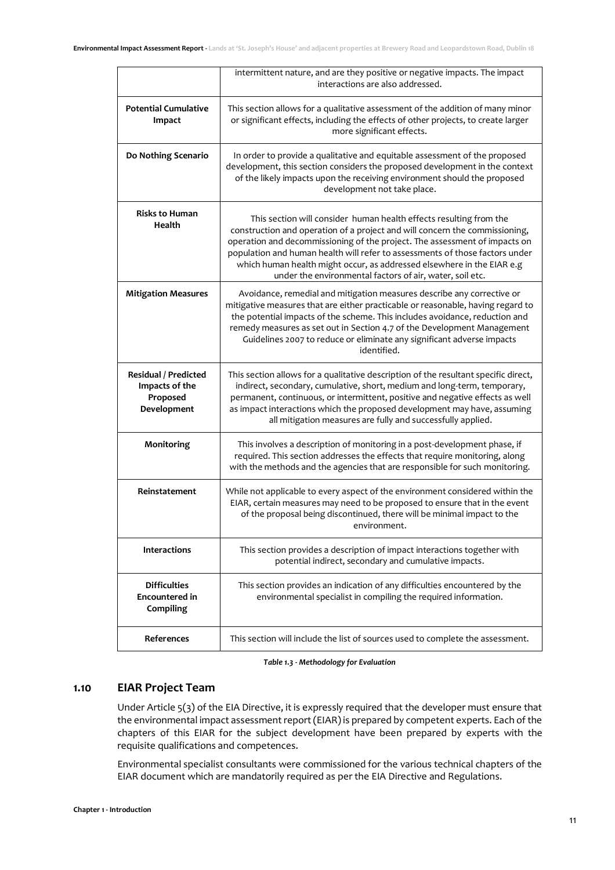|                                                                   | intermittent nature, and are they positive or negative impacts. The impact<br>interactions are also addressed.                                                                                                                                                                                                                                                                                                                                        |
|-------------------------------------------------------------------|-------------------------------------------------------------------------------------------------------------------------------------------------------------------------------------------------------------------------------------------------------------------------------------------------------------------------------------------------------------------------------------------------------------------------------------------------------|
| <b>Potential Cumulative</b><br>Impact                             | This section allows for a qualitative assessment of the addition of many minor<br>or significant effects, including the effects of other projects, to create larger<br>more significant effects.                                                                                                                                                                                                                                                      |
| Do Nothing Scenario                                               | In order to provide a qualitative and equitable assessment of the proposed<br>development, this section considers the proposed development in the context<br>of the likely impacts upon the receiving environment should the proposed<br>development not take place.                                                                                                                                                                                  |
| <b>Risks to Human</b><br>Health                                   | This section will consider human health effects resulting from the<br>construction and operation of a project and will concern the commissioning,<br>operation and decommissioning of the project. The assessment of impacts on<br>population and human health will refer to assessments of those factors under<br>which human health might occur, as addressed elsewhere in the EIAR e.g<br>under the environmental factors of air, water, soil etc. |
| <b>Mitigation Measures</b>                                        | Avoidance, remedial and mitigation measures describe any corrective or<br>mitigative measures that are either practicable or reasonable, having regard to<br>the potential impacts of the scheme. This includes avoidance, reduction and<br>remedy measures as set out in Section 4.7 of the Development Management<br>Guidelines 2007 to reduce or eliminate any significant adverse impacts<br>identified.                                          |
| Residual / Predicted<br>Impacts of the<br>Proposed<br>Development | This section allows for a qualitative description of the resultant specific direct,<br>indirect, secondary, cumulative, short, medium and long-term, temporary,<br>permanent, continuous, or intermittent, positive and negative effects as well<br>as impact interactions which the proposed development may have, assuming<br>all mitigation measures are fully and successfully applied.                                                           |
| Monitoring                                                        | This involves a description of monitoring in a post-development phase, if<br>required. This section addresses the effects that require monitoring, along<br>with the methods and the agencies that are responsible for such monitoring.                                                                                                                                                                                                               |
| Reinstatement                                                     | While not applicable to every aspect of the environment considered within the<br>EIAR, certain measures may need to be proposed to ensure that in the event<br>of the proposal being discontinued, there will be minimal impact to the<br>environment.                                                                                                                                                                                                |
| <b>Interactions</b>                                               | This section provides a description of impact interactions together with<br>potential indirect, secondary and cumulative impacts.                                                                                                                                                                                                                                                                                                                     |
| <b>Difficulties</b><br>Encountered in<br>Compiling                | This section provides an indication of any difficulties encountered by the<br>environmental specialist in compiling the required information.                                                                                                                                                                                                                                                                                                         |
| References                                                        | This section will include the list of sources used to complete the assessment.                                                                                                                                                                                                                                                                                                                                                                        |

*Table 1.3 - Methodology for Evaluation*

## <span id="page-10-0"></span>**1.10 EIAR Project Team**

Under Article 5(3) of the EIA Directive, it is expressly required that the developer must ensure that the environmental impact assessment report (EIAR) is prepared by competent experts. Each of the chapters of this EIAR for the subject development have been prepared by experts with the requisite qualifications and competences.

Environmental specialist consultants were commissioned for the various technical chapters of the EIAR document which are mandatorily required as per the EIA Directive and Regulations.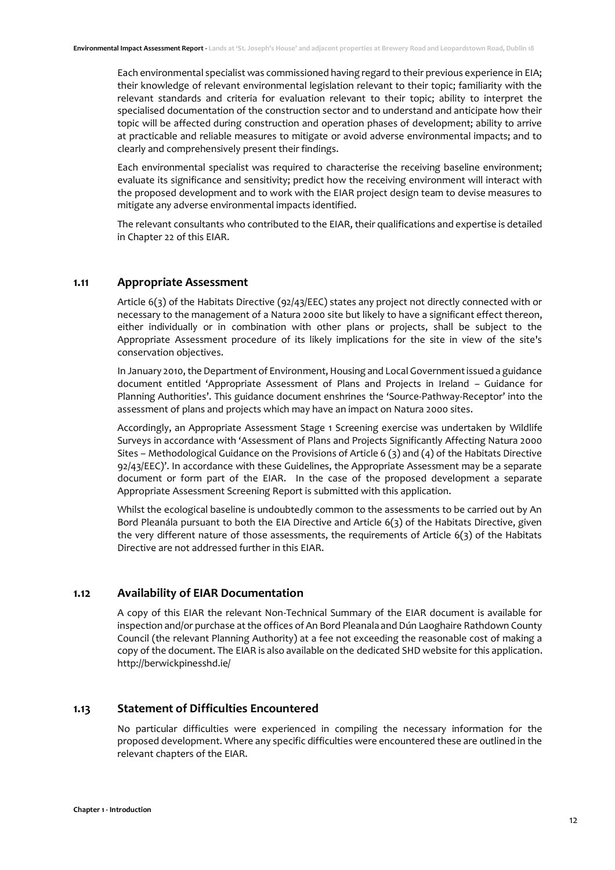Each environmental specialist was commissioned having regard to their previous experience in EIA; their knowledge of relevant environmental legislation relevant to their topic; familiarity with the relevant standards and criteria for evaluation relevant to their topic; ability to interpret the specialised documentation of the construction sector and to understand and anticipate how their topic will be affected during construction and operation phases of development; ability to arrive at practicable and reliable measures to mitigate or avoid adverse environmental impacts; and to clearly and comprehensively present their findings.

Each environmental specialist was required to characterise the receiving baseline environment; evaluate its significance and sensitivity; predict how the receiving environment will interact with the proposed development and to work with the EIAR project design team to devise measures to mitigate any adverse environmental impacts identified.

The relevant consultants who contributed to the EIAR, their qualifications and expertise is detailed in Chapter 22 of this EIAR.

#### <span id="page-11-0"></span>**1.11 Appropriate Assessment**

Article 6(3) of the Habitats Directive (92/43/EEC) states any project not directly connected with or necessary to the management of a Natura 2000 site but likely to have a significant effect thereon, either individually or in combination with other plans or projects, shall be subject to the Appropriate Assessment procedure of its likely implications for the site in view of the site's conservation objectives.

In January 2010, the Department of Environment, Housing and Local Government issued a guidance document entitled 'Appropriate Assessment of Plans and Projects in Ireland – Guidance for Planning Authorities'. This guidance document enshrines the 'Source-Pathway-Receptor' into the assessment of plans and projects which may have an impact on Natura 2000 sites.

Accordingly, an Appropriate Assessment Stage 1 Screening exercise was undertaken by Wildlife Surveys in accordance with 'Assessment of Plans and Projects Significantly Affecting Natura 2000 Sites – Methodological Guidance on the Provisions of Article 6 (3) and (4) of the Habitats Directive 92/43/EEC)'. In accordance with these Guidelines, the Appropriate Assessment may be a separate document or form part of the EIAR. In the case of the proposed development a separate Appropriate Assessment Screening Report is submitted with this application.

Whilst the ecological baseline is undoubtedly common to the assessments to be carried out by An Bord Pleanála pursuant to both the EIA Directive and Article 6(3) of the Habitats Directive, given the very different nature of those assessments, the requirements of Article 6(3) of the Habitats Directive are not addressed further in this EIAR.

#### <span id="page-11-1"></span>**1.12 Availability of EIAR Documentation**

A copy of this EIAR the relevant Non-Technical Summary of the EIAR document is available for inspection and/or purchase at the offices of An Bord Pleanala and Dún Laoghaire Rathdown County Council (the relevant Planning Authority) at a fee not exceeding the reasonable cost of making a copy of the document. The EIAR is also available on the dedicated SHD website for this application. http://berwickpinesshd.ie/

## <span id="page-11-2"></span>**1.13 Statement of Difficulties Encountered**

No particular difficulties were experienced in compiling the necessary information for the proposed development. Where any specific difficulties were encountered these are outlined in the relevant chapters of the EIAR.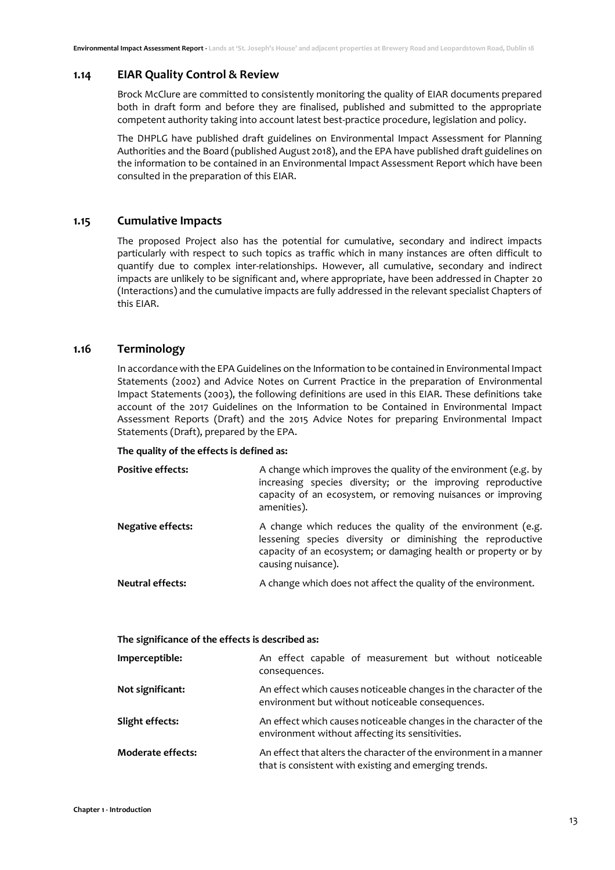#### <span id="page-12-0"></span>**1.14 EIAR Quality Control & Review**

Brock McClure are committed to consistently monitoring the quality of EIAR documents prepared both in draft form and before they are finalised, published and submitted to the appropriate competent authority taking into account latest best-practice procedure, legislation and policy.

The DHPLG have published draft guidelines on Environmental Impact Assessment for Planning Authorities and the Board (published August 2018), and the EPA have published draft guidelines on the information to be contained in an Environmental Impact Assessment Report which have been consulted in the preparation of this EIAR.

#### <span id="page-12-1"></span>**1.15 Cumulative Impacts**

The proposed Project also has the potential for cumulative, secondary and indirect impacts particularly with respect to such topics as traffic which in many instances are often difficult to quantify due to complex inter-relationships. However, all cumulative, secondary and indirect impacts are unlikely to be significant and, where appropriate, have been addressed in Chapter 20 (Interactions) and the cumulative impacts are fully addressed in the relevant specialist Chapters of this EIAR.

#### <span id="page-12-2"></span>**1.16 Terminology**

In accordance with the EPA Guidelines on the Information to be contained in Environmental Impact Statements (2002) and Advice Notes on Current Practice in the preparation of Environmental Impact Statements (2003), the following definitions are used in this EIAR. These definitions take account of the 2017 Guidelines on the Information to be Contained in Environmental Impact Assessment Reports (Draft) and the 2015 Advice Notes for preparing Environmental Impact Statements (Draft), prepared by the EPA.

#### **The quality of the effects is defined as:**

| <b>Positive effects:</b> | A change which improves the quality of the environment (e.g. by<br>increasing species diversity; or the improving reproductive<br>capacity of an ecosystem, or removing nuisances or improving<br>amenities).      |
|--------------------------|--------------------------------------------------------------------------------------------------------------------------------------------------------------------------------------------------------------------|
| Negative effects:        | A change which reduces the quality of the environment (e.g.<br>lessening species diversity or diminishing the reproductive<br>capacity of an ecosystem; or damaging health or property or by<br>causing nuisance). |
| Neutral effects:         | A change which does not affect the quality of the environment.                                                                                                                                                     |

| The significance of the effects is described as: |                                                                                                                             |
|--------------------------------------------------|-----------------------------------------------------------------------------------------------------------------------------|
| Imperceptible:                                   | An effect capable of measurement but without noticeable<br>consequences.                                                    |
| Not significant:                                 | An effect which causes noticeable changes in the character of the<br>environment but without noticeable consequences.       |
| Slight effects:                                  | An effect which causes noticeable changes in the character of the<br>environment without affecting its sensitivities.       |
| <b>Moderate effects:</b>                         | An effect that alters the character of the environment in a manner<br>that is consistent with existing and emerging trends. |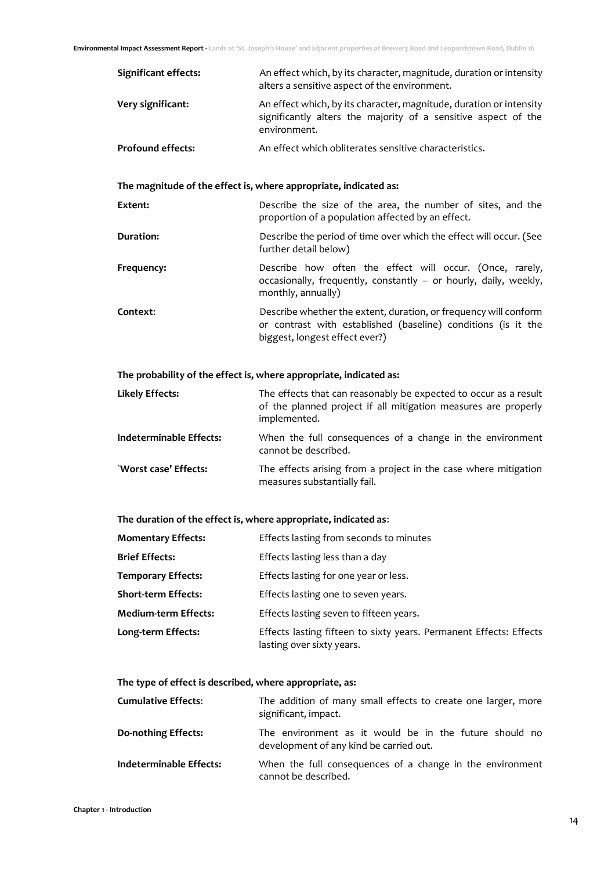| Significant effects:                                             | An effect which, by its character, magnitude, duration or intensity<br>alters a sensitive aspect of the environment.                                                |  |
|------------------------------------------------------------------|---------------------------------------------------------------------------------------------------------------------------------------------------------------------|--|
| Very significant:                                                | An effect which, by its character, magnitude, duration or intensity<br>significantly alters the majority of a sensitive aspect of the<br>environment.               |  |
| <b>Profound effects:</b>                                         | An effect which obliterates sensitive characteristics.                                                                                                              |  |
|                                                                  |                                                                                                                                                                     |  |
| The magnitude of the effect is, where appropriate, indicated as: |                                                                                                                                                                     |  |
| Extent:                                                          | Describe the size of the area, the number of sites, and the<br>proportion of a population affected by an effect.                                                    |  |
| <b>Duration:</b>                                                 | Describe the period of time over which the effect will occur. (See<br>further detail below)                                                                         |  |
| Frequency:                                                       | Describe how often the effect will occur. (Once, rarely,<br>occasionally, frequently, constantly - or hourly, daily, weekly,<br>monthly, annually)                  |  |
| Context:                                                         | Describe whether the extent, duration, or frequency will conform<br>or contrast with established (baseline) conditions (is it the<br>biggest, longest effect ever?) |  |

**The probability of the effect is, where appropriate, indicated as:** 

| Likely Effects:         | The effects that can reasonably be expected to occur as a result<br>of the planned project if all mitigation measures are properly<br>implemented. |
|-------------------------|----------------------------------------------------------------------------------------------------------------------------------------------------|
| Indeterminable Effects: | When the full consequences of a change in the environment<br>cannot be described.                                                                  |
| `Worst case' Effects:   | The effects arising from a project in the case where mitigation<br>measures substantially fail.                                                    |

## **The duration of the effect is, where appropriate, indicated as**:

| <b>Momentary Effects:</b>   | Effects lasting from seconds to minutes                                                         |
|-----------------------------|-------------------------------------------------------------------------------------------------|
| <b>Brief Effects:</b>       | Effects lasting less than a day                                                                 |
| <b>Temporary Effects:</b>   | Effects lasting for one year or less.                                                           |
| <b>Short-term Effects:</b>  | Effects lasting one to seven years.                                                             |
| <b>Medium-term Effects:</b> | Effects lasting seven to fifteen years.                                                         |
| Long-term Effects:          | Effects lasting fifteen to sixty years. Permanent Effects: Effects<br>lasting over sixty years. |

## **The type of effect is described, where appropriate, as:**

| <b>Cumulative Effects:</b> | The addition of many small effects to create one larger, more<br>significant, impact.             |
|----------------------------|---------------------------------------------------------------------------------------------------|
| Do-nothing Effects:        | The environment as it would be in the future should no<br>development of any kind be carried out. |
| Indeterminable Effects:    | When the full consequences of a change in the environment<br>cannot be described.                 |